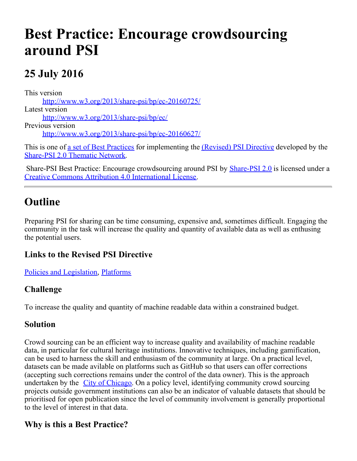# **Best Practice: Encourage crowdsourcing around PSI**

# **25 July 2016**

This version [http://www.w3.org/2013/share-psi/bp/ec-20160725/](https://www.w3.org/2013/share-psi/bp/ec-20160725/) Latest version [http://www.w3.org/2013/share-psi/bp/ec/](https://www.w3.org/2013/share-psi/bp/ec/) Previous version [http://www.w3.org/2013/share-psi/bp/ec-20160627/](https://www.w3.org/2013/share-psi/bp/ec-20160627/)

This is one of [a set of Best Practices](https://www.w3.org/2013/share-psi/bp/#bps) for implementing the [\(Revised\) PSI Directive](https://ec.europa.eu/digital-single-market/legal-rules) developed by the [Share-PSI 2.0 Thematic Network](http://www.w3.org/2013/share-psi/).

Share-PSI Best Practice: Encourage crowdsourcing around PSI by **[Share-PSI 2.0](http://www.w3.org/2013/share-psi/)** is licensed under a [Creative Commons Attribution 4.0 International License](http://creativecommons.org/licenses/by/4.0/).

## **Outline**

Preparing PSI for sharing can be time consuming, expensive and, sometimes difficult. Engaging the community in the task will increase the quality and quantity of available data as well as enthusing the potential users.

#### **Links to the Revised PSI Directive**

[Policies and Legislation](https://www.w3.org/2013/share-psi/bp/policy/), [Platforms](https://www.w3.org/2013/share-psi/bp/platforms/)

#### **Challenge**

To increase the quality and quantity of machine readable data within a constrained budget.

#### **Solution**

Crowd sourcing can be an efficient way to increase quality and availability of machine readable data, in particular for cultural heritage institutions. Innovative techniques, including gamification, can be used to harness the skill and enthusiasm of the community at large. On a practical level, datasets can be made avilable on platforms such as GitHub so that users can offer corrections (accepting such corrections remains under the control of the data owner). This is the approach undertaken by the [City of Chicago](https://github.com/Chicago). On a policy level, identifying community crowd sourcing projects outside government institutions can also be an indicator of valuable datasets that should be prioritised for open publication since the level of community involvement is generally proportional to the level of interest in that data.

#### **Why is this a Best Practice?**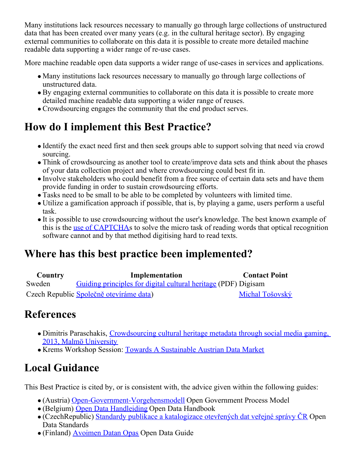Many institutions lack resources necessary to manually go through large collections of unstructured data that has been created over many years (e.g. in the cultural heritage sector). By engaging external communities to collaborate on this data it is possible to create more detailed machine readable data supporting a wider range of re-use cases.

More machine readable open data supports a wider range of use-cases in services and applications.

- Many institutions lack resources necessary to manually go through large collections of unstructured data.
- By engaging external communities to collaborate on this data it is possible to create more detailed machine readable data supporting a wider range of reuses.
- Crowdsourcing engages the community that the end product serves.

# **How do I implement this Best Practice?**

- Identify the exact need first and then seek groups able to support solving that need via crowd sourcing.
- Think of crowdsourcing as another tool to create/improve data sets and think about the phases of your data collection project and where crowdsourcing could best fit in.
- Involve stakeholders who could benefit from a free source of certain data sets and have them provide funding in order to sustain crowdsourcing efforts.
- Tasks need to be small to be able to be completed by volunteers with limited time.
- Utilize a gamification approach if possible, that is, by playing a game, users perform a useful task.
- It is possible to use crowdsourcing without the user's knowledge. The best known example of this is the [use of CAPTCHA](https://en.wikipedia.org/wiki/ReCAPTCHA)s to solve the micro task of reading words that optical recognition software cannot and by that method digitising hard to read texts.

# **Where has this best practice been implemented?**

| <b>Country</b> | Implementation                                                 | <b>Contact Point</b> |
|----------------|----------------------------------------------------------------|----------------------|
| Sweden         | Guiding principles for digital cultural heritage (PDF) Digisam |                      |
|                | Czech Republic Společně otevíráme data)                        | Michal Tošovský      |

### **References**

- Dimitris Paraschakis, [Crowdsourcing cultural heritage metadata through social media gaming,](https://dspace.mah.se/bitstream/handle/2043/16114/Paraschakis_A4.pdf?sequence=2) [2013, Malmö University](https://dspace.mah.se/bitstream/handle/2043/16114/Paraschakis_A4.pdf?sequence=2)
- Krems Workshop Session: [Towards A Sustainable Austrian Data Market](https://www.w3.org/2013/share-psi/wiki/Krems/Scribe#Towards_A_Sustainable_Austrian_Data_Market.3B_Michela_Vignoli.3B_AIT)

# **Local Guidance**

This Best Practice is cited by, or is consistent with, the advice given within the following guides:

- (Austria) [Open-Government-Vorgehensmodell](https://www.w3.org/2013/share-psi/lg/Austria#wnGuide) Open Government Process Model
- (Belgium) [Open Data Handleiding](https://www.w3.org/2013/share-psi/lg/Belgium#vlGuide) Open Data Handbook
- $\bullet$  (CzechRepublic) [Standardy publikace a katalogizace otevřených dat veřejné správy ČR](https://www.w3.org/2013/share-psi/lg/CzechRepublic#czOpenDataStandards) Open Data Standards
- (Finland) [Avoimen Datan Opas](https://www.w3.org/2013/share-psi/lg/Finland#fiOpenData) Open Data Guide